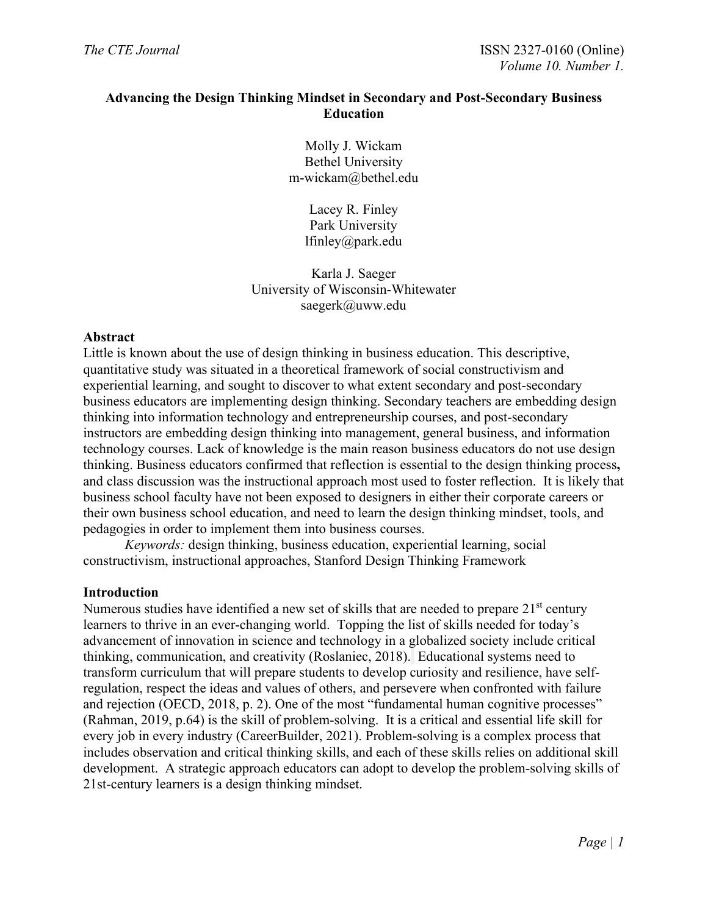# **Advancing the Design Thinking Mindset in Secondary and Post-Secondary Business Education**

Molly J. Wickam Bethel University m-wickam@bethel.edu

> Lacey R. Finley Park University lfinley@park.edu

Karla J. Saeger University of Wisconsin-Whitewater saegerk@uww.edu

### **Abstract**

Little is known about the use of design thinking in business education. This descriptive, quantitative study was situated in a theoretical framework of social constructivism and experiential learning, and sought to discover to what extent secondary and post-secondary business educators are implementing design thinking. Secondary teachers are embedding design thinking into information technology and entrepreneurship courses, and post-secondary instructors are embedding design thinking into management, general business, and information technology courses. Lack of knowledge is the main reason business educators do not use design thinking. Business educators confirmed that reflection is essential to the design thinking process**,**  and class discussion was the instructional approach most used to foster reflection. It is likely that business school faculty have not been exposed to designers in either their corporate careers or their own business school education, and need to learn the design thinking mindset, tools, and pedagogies in order to implement them into business courses.

*Keywords:* design thinking, business education, experiential learning, social constructivism, instructional approaches, Stanford Design Thinking Framework

### **Introduction**

Numerous studies have identified a new set of skills that are needed to prepare  $21<sup>st</sup>$  century learners to thrive in an ever-changing world. Topping the list of skills needed for today's advancement of innovation in science and technology in a globalized society include critical thinking, communication, and creativity (Roslaniec, 2018). Educational systems need to transform curriculum that will prepare students to develop curiosity and resilience, have selfregulation, respect the ideas and values of others, and persevere when confronted with failure and rejection (OECD, 2018, p. 2). One of the most "fundamental human cognitive processes" (Rahman, 2019, p.64) is the skill of problem-solving. It is a critical and essential life skill for every job in every industry (CareerBuilder, 2021). Problem-solving is a complex process that includes observation and critical thinking skills, and each of these skills relies on additional skill development. A strategic approach educators can adopt to develop the problem-solving skills of 21st-century learners is a design thinking mindset.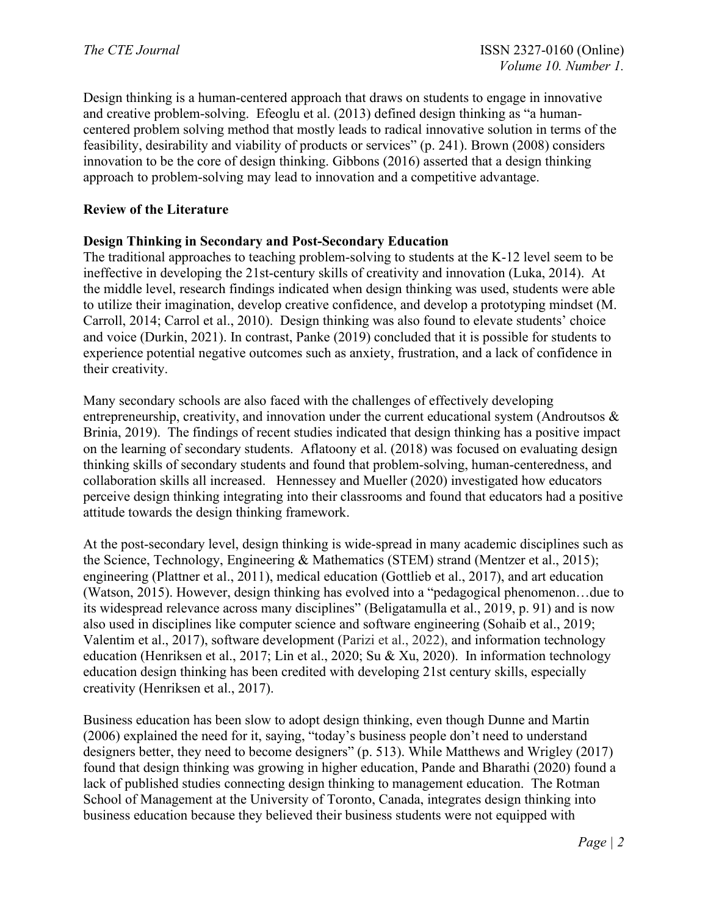Design thinking is a human-centered approach that draws on students to engage in innovative and creative problem-solving. Efeoglu et al. (2013) defined design thinking as "a humancentered problem solving method that mostly leads to radical innovative solution in terms of the feasibility, desirability and viability of products or services" (p. 241). Brown (2008) considers innovation to be the core of design thinking. Gibbons (2016) asserted that a design thinking approach to problem-solving may lead to innovation and a competitive advantage.

# **Review of the Literature**

### **Design Thinking in Secondary and Post-Secondary Education**

The traditional approaches to teaching problem-solving to students at the K-12 level seem to be ineffective in developing the 21st-century skills of creativity and innovation (Luka, 2014). At the middle level, research findings indicated when design thinking was used, students were able to utilize their imagination, develop creative confidence, and develop a prototyping mindset (M. Carroll, 2014; Carrol et al., 2010). Design thinking was also found to elevate students' choice and voice (Durkin, 2021). In contrast, Panke (2019) concluded that it is possible for students to experience potential negative outcomes such as anxiety, frustration, and a lack of confidence in their creativity.

Many secondary schools are also faced with the challenges of effectively developing entrepreneurship, creativity, and innovation under the current educational system (Androutsos  $\&$ Brinia, 2019). The findings of recent studies indicated that design thinking has a positive impact on the learning of secondary students. Aflatoony et al. (2018) was focused on evaluating design thinking skills of secondary students and found that problem-solving, human-centeredness, and collaboration skills all increased. Hennessey and Mueller (2020) investigated how educators perceive design thinking integrating into their classrooms and found that educators had a positive attitude towards the design thinking framework.

At the post-secondary level, design thinking is wide-spread in many academic disciplines such as the Science, Technology, Engineering & Mathematics (STEM) strand (Mentzer et al., 2015); engineering (Plattner et al., 2011), medical education (Gottlieb et al., 2017), and art education (Watson, 2015). However, design thinking has evolved into a "pedagogical phenomenon…due to its widespread relevance across many disciplines" (Beligatamulla et al., 2019, p. 91) and is now also used in disciplines like computer science and software engineering (Sohaib et al., 2019; Valentim et al., 2017), software development (Parizi et al., 2022), and information technology education (Henriksen et al., 2017; Lin et al., 2020; Su & Xu, 2020). In information technology education design thinking has been credited with developing 21st century skills, especially creativity (Henriksen et al., 2017).

Business education has been slow to adopt design thinking, even though Dunne and Martin (2006) explained the need for it, saying, "today's business people don't need to understand designers better, they need to become designers" (p. 513). While Matthews and Wrigley (2017) found that design thinking was growing in higher education, Pande and Bharathi (2020) found a lack of published studies connecting design thinking to management education. The Rotman School of Management at the University of Toronto, Canada, integrates design thinking into business education because they believed their business students were not equipped with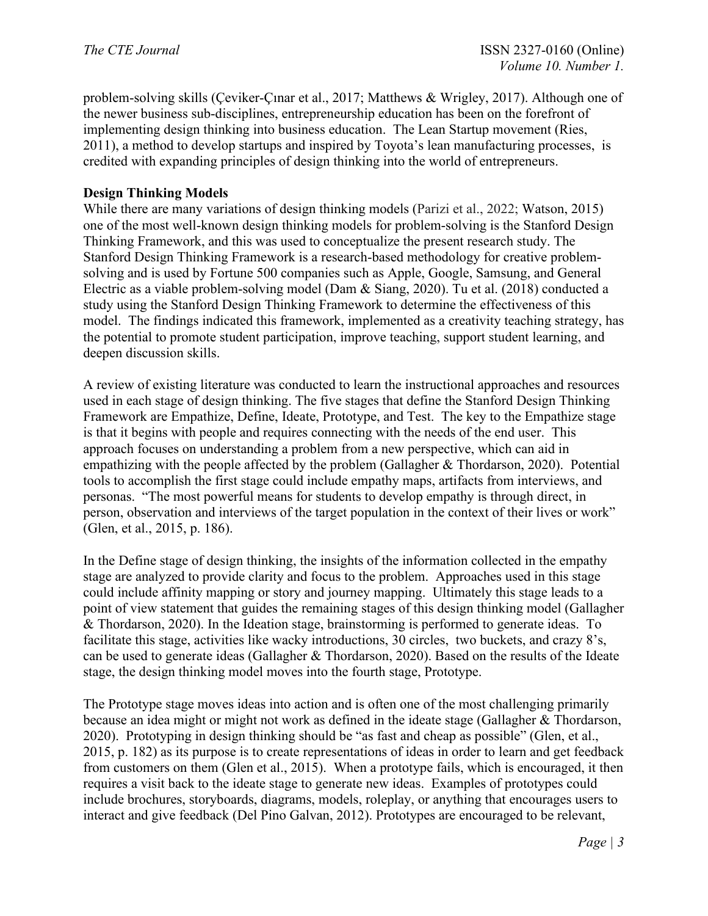problem-solving skills (Çeviker-Çınar et al., 2017; Matthews & Wrigley, 2017). Although one of the newer business sub-disciplines, entrepreneurship education has been on the forefront of implementing design thinking into business education. The Lean Startup movement (Ries, 2011), a method to develop startups and inspired by Toyota's lean manufacturing processes, is credited with expanding principles of design thinking into the world of entrepreneurs.

#### **Design Thinking Models**

While there are many variations of design thinking models (Parizi et al., 2022; Watson, 2015) one of the most well-known design thinking models for problem-solving is the Stanford Design Thinking Framework, and this was used to conceptualize the present research study. The Stanford Design Thinking Framework is a research-based methodology for creative problemsolving and is used by Fortune 500 companies such as Apple, Google, Samsung, and General Electric as a viable problem-solving model (Dam & Siang, 2020). Tu et al. (2018) conducted a study using the Stanford Design Thinking Framework to determine the effectiveness of this model. The findings indicated this framework, implemented as a creativity teaching strategy, has the potential to promote student participation, improve teaching, support student learning, and deepen discussion skills.

A review of existing literature was conducted to learn the instructional approaches and resources used in each stage of design thinking. The five stages that define the Stanford Design Thinking Framework are Empathize, Define, Ideate, Prototype, and Test. The key to the Empathize stage is that it begins with people and requires connecting with the needs of the end user. This approach focuses on understanding a problem from a new perspective, which can aid in empathizing with the people affected by the problem (Gallagher & Thordarson, 2020). Potential tools to accomplish the first stage could include empathy maps, artifacts from interviews, and personas. "The most powerful means for students to develop empathy is through direct, in person, observation and interviews of the target population in the context of their lives or work" (Glen, et al., 2015, p. 186).

In the Define stage of design thinking, the insights of the information collected in the empathy stage are analyzed to provide clarity and focus to the problem. Approaches used in this stage could include affinity mapping or story and journey mapping. Ultimately this stage leads to a point of view statement that guides the remaining stages of this design thinking model (Gallagher & Thordarson, 2020). In the Ideation stage, brainstorming is performed to generate ideas. To facilitate this stage, activities like wacky introductions, 30 circles, two buckets, and crazy 8's, can be used to generate ideas (Gallagher & Thordarson, 2020). Based on the results of the Ideate stage, the design thinking model moves into the fourth stage, Prototype.

The Prototype stage moves ideas into action and is often one of the most challenging primarily because an idea might or might not work as defined in the ideate stage (Gallagher & Thordarson, 2020). Prototyping in design thinking should be "as fast and cheap as possible" (Glen, et al., 2015, p. 182) as its purpose is to create representations of ideas in order to learn and get feedback from customers on them (Glen et al., 2015). When a prototype fails, which is encouraged, it then requires a visit back to the ideate stage to generate new ideas. Examples of prototypes could include brochures, storyboards, diagrams, models, roleplay, or anything that encourages users to interact and give feedback (Del Pino Galvan, 2012). Prototypes are encouraged to be relevant,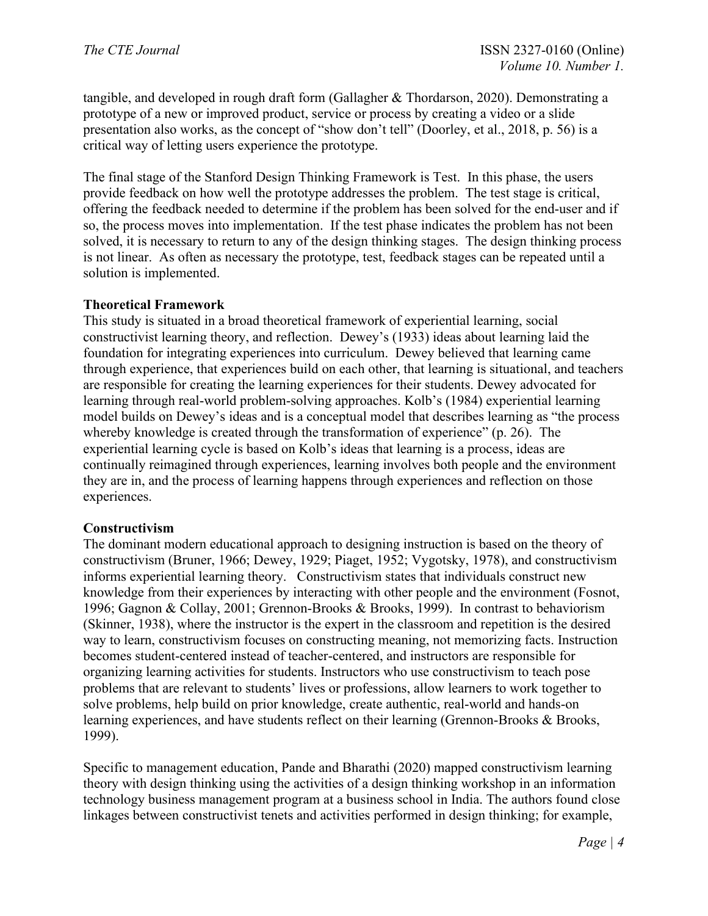tangible, and developed in rough draft form (Gallagher & Thordarson, 2020). Demonstrating a prototype of a new or improved product, service or process by creating a video or a slide presentation also works, as the concept of "show don't tell" (Doorley, et al., 2018, p. 56) is a critical way of letting users experience the prototype.

The final stage of the Stanford Design Thinking Framework is Test. In this phase, the users provide feedback on how well the prototype addresses the problem. The test stage is critical, offering the feedback needed to determine if the problem has been solved for the end-user and if so, the process moves into implementation. If the test phase indicates the problem has not been solved, it is necessary to return to any of the design thinking stages. The design thinking process is not linear. As often as necessary the prototype, test, feedback stages can be repeated until a solution is implemented.

### **Theoretical Framework**

This study is situated in a broad theoretical framework of experiential learning, social constructivist learning theory, and reflection. Dewey's (1933) ideas about learning laid the foundation for integrating experiences into curriculum. Dewey believed that learning came through experience, that experiences build on each other, that learning is situational, and teachers are responsible for creating the learning experiences for their students. Dewey advocated for learning through real-world problem-solving approaches. Kolb's (1984) experiential learning model builds on Dewey's ideas and is a conceptual model that describes learning as "the process whereby knowledge is created through the transformation of experience" (p. 26). The experiential learning cycle is based on Kolb's ideas that learning is a process, ideas are continually reimagined through experiences, learning involves both people and the environment they are in, and the process of learning happens through experiences and reflection on those experiences.

# **Constructivism**

The dominant modern educational approach to designing instruction is based on the theory of constructivism (Bruner, 1966; Dewey, 1929; Piaget, 1952; Vygotsky, 1978), and constructivism informs experiential learning theory. Constructivism states that individuals construct new knowledge from their experiences by interacting with other people and the environment (Fosnot, 1996; Gagnon & Collay, 2001; Grennon-Brooks & Brooks, 1999). In contrast to behaviorism (Skinner, 1938), where the instructor is the expert in the classroom and repetition is the desired way to learn, constructivism focuses on constructing meaning, not memorizing facts. Instruction becomes student-centered instead of teacher-centered, and instructors are responsible for organizing learning activities for students. Instructors who use constructivism to teach pose problems that are relevant to students' lives or professions, allow learners to work together to solve problems, help build on prior knowledge, create authentic, real-world and hands-on learning experiences, and have students reflect on their learning (Grennon-Brooks & Brooks, 1999).

Specific to management education, Pande and Bharathi (2020) mapped constructivism learning theory with design thinking using the activities of a design thinking workshop in an information technology business management program at a business school in India. The authors found close linkages between constructivist tenets and activities performed in design thinking; for example,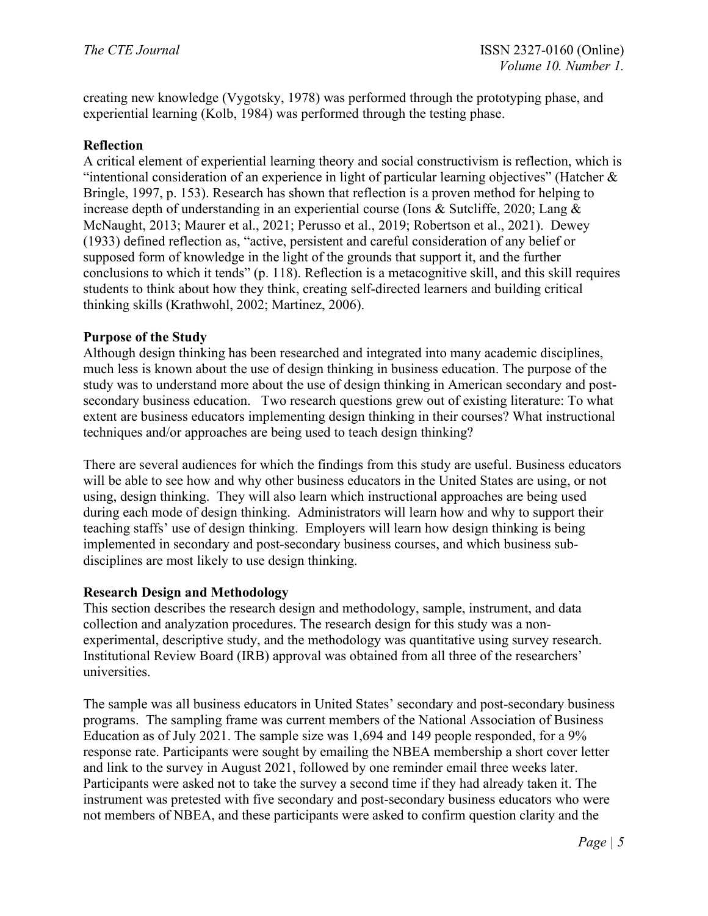creating new knowledge (Vygotsky, 1978) was performed through the prototyping phase, and experiential learning (Kolb, 1984) was performed through the testing phase.

# **Reflection**

A critical element of experiential learning theory and social constructivism is reflection, which is "intentional consideration of an experience in light of particular learning objectives" (Hatcher  $\&$ Bringle, 1997, p. 153). Research has shown that reflection is a proven method for helping to increase depth of understanding in an experiential course (Ions & Sutcliffe, 2020; Lang & McNaught, 2013; Maurer et al., 2021; Perusso et al., 2019; Robertson et al., 2021). Dewey (1933) defined reflection as, "active, persistent and careful consideration of any belief or supposed form of knowledge in the light of the grounds that support it, and the further conclusions to which it tends" (p. 118). Reflection is a metacognitive skill, and this skill requires students to think about how they think, creating self-directed learners and building critical thinking skills (Krathwohl, 2002; Martinez, 2006).

### **Purpose of the Study**

Although design thinking has been researched and integrated into many academic disciplines, much less is known about the use of design thinking in business education. The purpose of the study was to understand more about the use of design thinking in American secondary and postsecondary business education. Two research questions grew out of existing literature: To what extent are business educators implementing design thinking in their courses? What instructional techniques and/or approaches are being used to teach design thinking?

There are several audiences for which the findings from this study are useful. Business educators will be able to see how and why other business educators in the United States are using, or not using, design thinking. They will also learn which instructional approaches are being used during each mode of design thinking. Administrators will learn how and why to support their teaching staffs' use of design thinking. Employers will learn how design thinking is being implemented in secondary and post-secondary business courses, and which business subdisciplines are most likely to use design thinking.

### **Research Design and Methodology**

This section describes the research design and methodology, sample, instrument, and data collection and analyzation procedures. The research design for this study was a nonexperimental, descriptive study, and the methodology was quantitative using survey research. Institutional Review Board (IRB) approval was obtained from all three of the researchers' universities.

The sample was all business educators in United States' secondary and post-secondary business programs. The sampling frame was current members of the National Association of Business Education as of July 2021. The sample size was 1,694 and 149 people responded, for a 9% response rate. Participants were sought by emailing the NBEA membership a short cover letter and link to the survey in August 2021, followed by one reminder email three weeks later. Participants were asked not to take the survey a second time if they had already taken it. The instrument was pretested with five secondary and post-secondary business educators who were not members of NBEA, and these participants were asked to confirm question clarity and the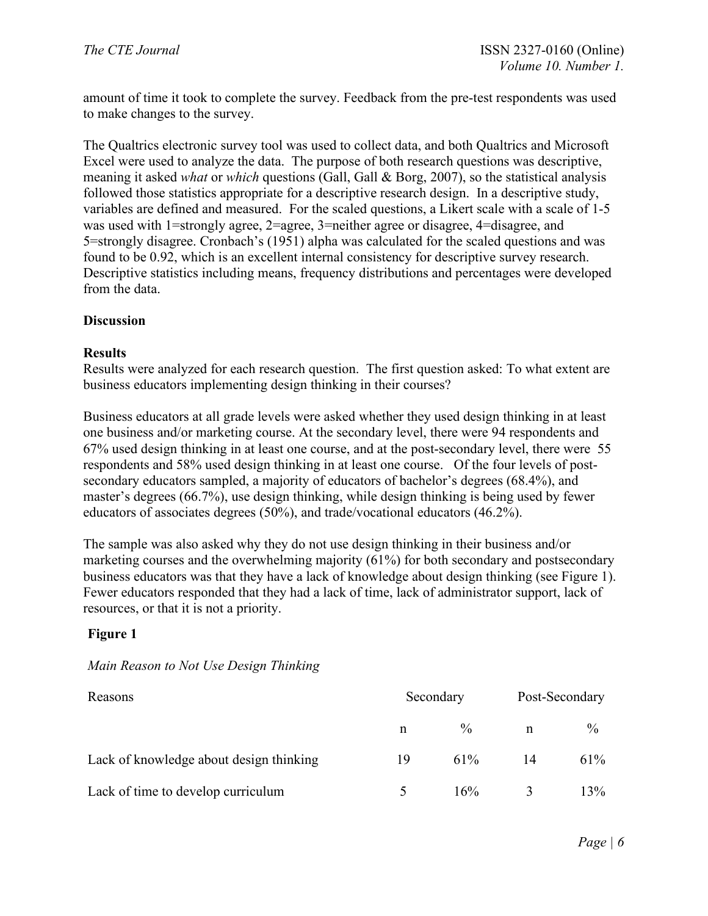amount of time it took to complete the survey. Feedback from the pre-test respondents was used to make changes to the survey.

The Qualtrics electronic survey tool was used to collect data, and both Qualtrics and Microsoft Excel were used to analyze the data. The purpose of both research questions was descriptive, meaning it asked *what* or *which* questions (Gall, Gall & Borg, 2007), so the statistical analysis followed those statistics appropriate for a descriptive research design. In a descriptive study, variables are defined and measured. For the scaled questions, a Likert scale with a scale of 1-5 was used with 1=strongly agree, 2=agree, 3=neither agree or disagree, 4=disagree, and 5=strongly disagree. Cronbach's (1951) alpha was calculated for the scaled questions and was found to be 0.92, which is an excellent internal consistency for descriptive survey research. Descriptive statistics including means, frequency distributions and percentages were developed from the data.

### **Discussion**

### **Results**

Results were analyzed for each research question. The first question asked: To what extent are business educators implementing design thinking in their courses?

Business educators at all grade levels were asked whether they used design thinking in at least one business and/or marketing course. At the secondary level, there were 94 respondents and 67% used design thinking in at least one course, and at the post-secondary level, there were 55 respondents and 58% used design thinking in at least one course. Of the four levels of postsecondary educators sampled, a majority of educators of bachelor's degrees (68.4%), and master's degrees (66.7%), use design thinking, while design thinking is being used by fewer educators of associates degrees (50%), and trade/vocational educators (46.2%).

The sample was also asked why they do not use design thinking in their business and/or marketing courses and the overwhelming majority (61%) for both secondary and postsecondary business educators was that they have a lack of knowledge about design thinking (see Figure 1). Fewer educators responded that they had a lack of time, lack of administrator support, lack of resources, or that it is not a priority.

# **Figure 1**

# *Main Reason to Not Use Design Thinking*

| Reasons                                 | Secondary |               | Post-Secondary |               |
|-----------------------------------------|-----------|---------------|----------------|---------------|
|                                         | n         | $\frac{0}{0}$ | n              | $\frac{0}{0}$ |
| Lack of knowledge about design thinking | 19        | 61%           | 14             | 61%           |
| Lack of time to develop curriculum      |           | $16\%$        |                | 13%           |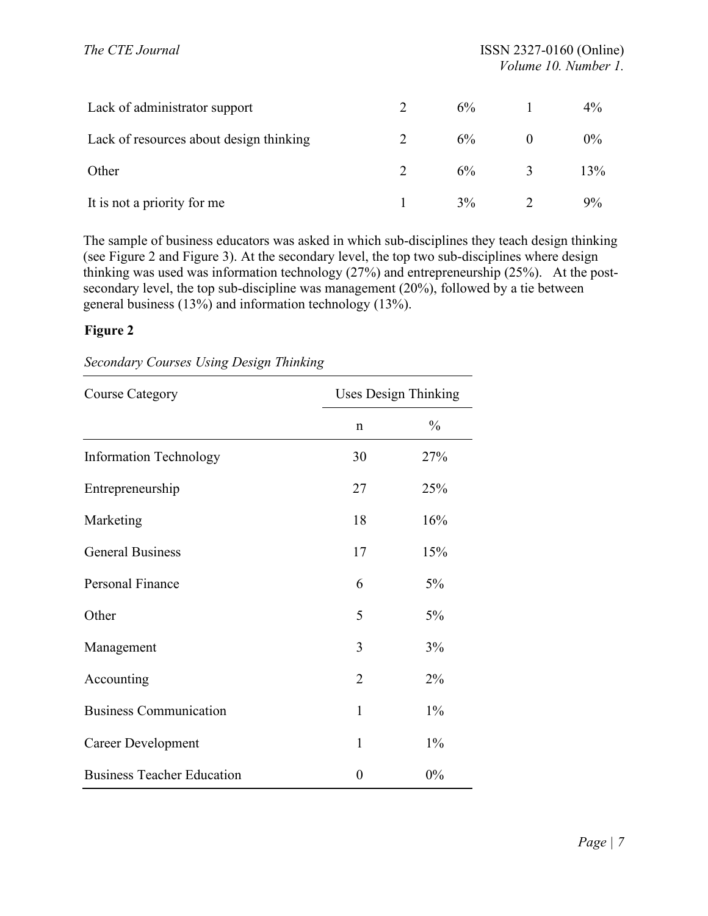| Lack of administrator support           | 6%    |   | 4%    |
|-----------------------------------------|-------|---|-------|
| Lack of resources about design thinking | $6\%$ |   | $0\%$ |
| Other                                   | $6\%$ | 3 | 13%   |
| It is not a priority for me             | $3\%$ |   | 9%    |

The sample of business educators was asked in which sub-disciplines they teach design thinking (see Figure 2 and Figure 3). At the secondary level, the top two sub-disciplines where design thinking was used was information technology (27%) and entrepreneurship (25%). At the postsecondary level, the top sub-discipline was management (20%), followed by a tie between general business (13%) and information technology (13%).

# **Figure 2**

| <b>Course Category</b>            | <b>Uses Design Thinking</b> |               |  |
|-----------------------------------|-----------------------------|---------------|--|
|                                   | $\mathbf n$                 | $\frac{0}{0}$ |  |
| <b>Information Technology</b>     | 30                          | 27%           |  |
| Entrepreneurship                  | 27                          | 25%           |  |
| Marketing                         | 18                          | 16%           |  |
| <b>General Business</b>           | 17                          | 15%           |  |
| <b>Personal Finance</b>           | 6                           | 5%            |  |
| Other                             | 5                           | 5%            |  |
| Management                        | 3                           | 3%            |  |
| Accounting                        | $\overline{2}$              | $2\%$         |  |
| <b>Business Communication</b>     | 1                           | $1\%$         |  |
| <b>Career Development</b>         | $\mathbf{1}$                | $1\%$         |  |
| <b>Business Teacher Education</b> | $\overline{0}$              | 0%            |  |

*Secondary Courses Using Design Thinking*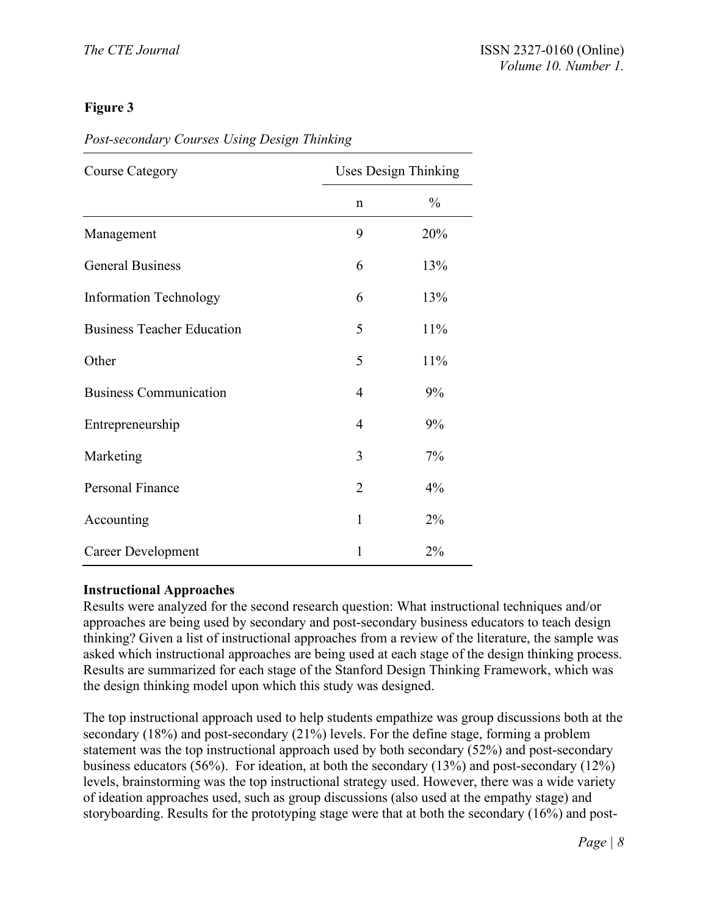# **Figure 3**

# *Post-secondary Courses Using Design Thinking*

| <b>Course Category</b>            |                | <b>Uses Design Thinking</b> |  |  |
|-----------------------------------|----------------|-----------------------------|--|--|
|                                   | $\mathbf n$    | $\frac{0}{0}$               |  |  |
| Management                        | 9              | 20%                         |  |  |
| <b>General Business</b>           | 6              | 13%                         |  |  |
| <b>Information Technology</b>     | 6              | 13%                         |  |  |
| <b>Business Teacher Education</b> | 5              | 11%                         |  |  |
| Other                             | 5              | 11%                         |  |  |
| <b>Business Communication</b>     | $\overline{4}$ | 9%                          |  |  |
| Entrepreneurship                  | 4              | 9%                          |  |  |
| Marketing                         | 3              | 7%                          |  |  |
| <b>Personal Finance</b>           | $\overline{2}$ | 4%                          |  |  |
| Accounting                        | 1              | 2%                          |  |  |
| <b>Career Development</b>         | 1              | 2%                          |  |  |

### **Instructional Approaches**

Results were analyzed for the second research question: What instructional techniques and/or approaches are being used by secondary and post-secondary business educators to teach design thinking? Given a list of instructional approaches from a review of the literature, the sample was asked which instructional approaches are being used at each stage of the design thinking process. Results are summarized for each stage of the Stanford Design Thinking Framework, which was the design thinking model upon which this study was designed.

The top instructional approach used to help students empathize was group discussions both at the secondary (18%) and post-secondary (21%) levels. For the define stage, forming a problem statement was the top instructional approach used by both secondary (52%) and post-secondary business educators (56%). For ideation, at both the secondary (13%) and post-secondary (12%) levels, brainstorming was the top instructional strategy used. However, there was a wide variety of ideation approaches used, such as group discussions (also used at the empathy stage) and storyboarding. Results for the prototyping stage were that at both the secondary (16%) and post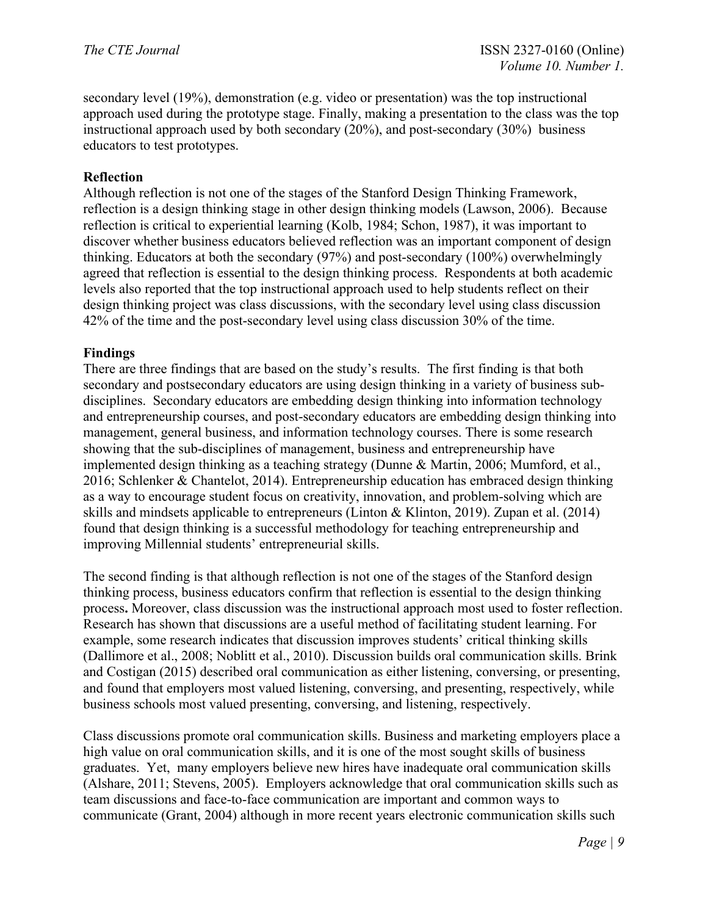secondary level (19%), demonstration (e.g. video or presentation) was the top instructional approach used during the prototype stage. Finally, making a presentation to the class was the top instructional approach used by both secondary (20%), and post-secondary (30%) business educators to test prototypes.

### **Reflection**

Although reflection is not one of the stages of the Stanford Design Thinking Framework, reflection is a design thinking stage in other design thinking models (Lawson, 2006). Because reflection is critical to experiential learning (Kolb, 1984; Schon, 1987), it was important to discover whether business educators believed reflection was an important component of design thinking. Educators at both the secondary (97%) and post-secondary (100%) overwhelmingly agreed that reflection is essential to the design thinking process. Respondents at both academic levels also reported that the top instructional approach used to help students reflect on their design thinking project was class discussions, with the secondary level using class discussion 42% of the time and the post-secondary level using class discussion 30% of the time.

# **Findings**

There are three findings that are based on the study's results. The first finding is that both secondary and postsecondary educators are using design thinking in a variety of business subdisciplines. Secondary educators are embedding design thinking into information technology and entrepreneurship courses, and post-secondary educators are embedding design thinking into management, general business, and information technology courses. There is some research showing that the sub-disciplines of management, business and entrepreneurship have implemented design thinking as a teaching strategy (Dunne & Martin, 2006; Mumford, et al., 2016; Schlenker & Chantelot, 2014). Entrepreneurship education has embraced design thinking as a way to encourage student focus on creativity, innovation, and problem-solving which are skills and mindsets applicable to entrepreneurs (Linton & Klinton, 2019). Zupan et al. (2014) found that design thinking is a successful methodology for teaching entrepreneurship and improving Millennial students' entrepreneurial skills.

The second finding is that although reflection is not one of the stages of the Stanford design thinking process, business educators confirm that reflection is essential to the design thinking process**.** Moreover, class discussion was the instructional approach most used to foster reflection. Research has shown that discussions are a useful method of facilitating student learning. For example, some research indicates that discussion improves students' critical thinking skills (Dallimore et al., 2008; Noblitt et al., 2010). Discussion builds oral communication skills. Brink and Costigan (2015) described oral communication as either listening, conversing, or presenting, and found that employers most valued listening, conversing, and presenting, respectively, while business schools most valued presenting, conversing, and listening, respectively.

Class discussions promote oral communication skills. Business and marketing employers place a high value on oral communication skills, and it is one of the most sought skills of business graduates. Yet, many employers believe new hires have inadequate oral communication skills (Alshare, 2011; Stevens, 2005). Employers acknowledge that oral communication skills such as team discussions and face-to-face communication are important and common ways to communicate (Grant, 2004) although in more recent years electronic communication skills such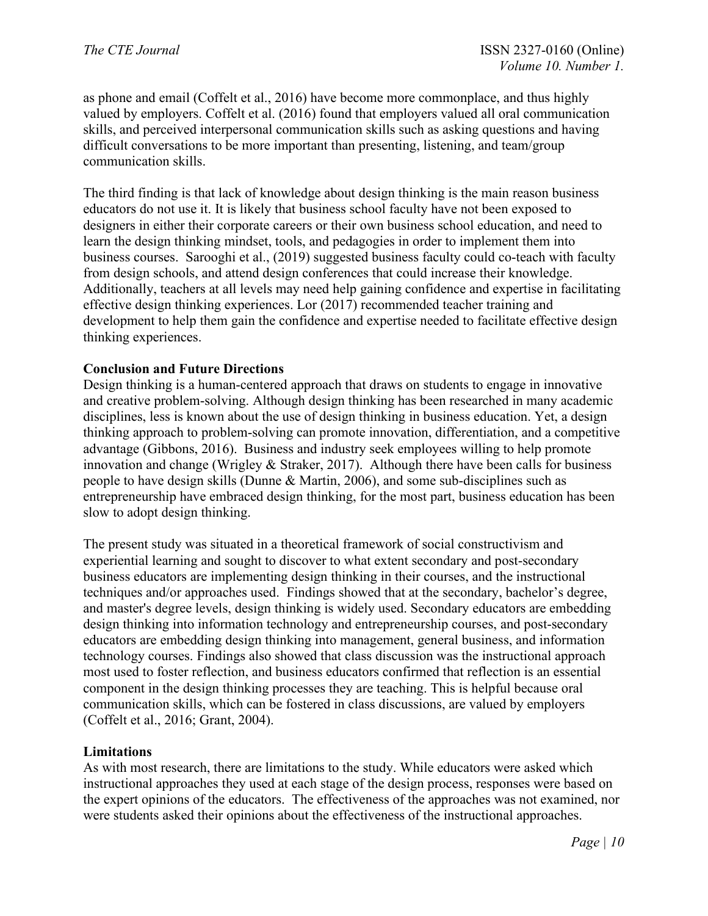as phone and email (Coffelt et al., 2016) have become more commonplace, and thus highly valued by employers. Coffelt et al. (2016) found that employers valued all oral communication skills, and perceived interpersonal communication skills such as asking questions and having difficult conversations to be more important than presenting, listening, and team/group communication skills.

The third finding is that lack of knowledge about design thinking is the main reason business educators do not use it. It is likely that business school faculty have not been exposed to designers in either their corporate careers or their own business school education, and need to learn the design thinking mindset, tools, and pedagogies in order to implement them into business courses. Sarooghi et al., (2019) suggested business faculty could co-teach with faculty from design schools, and attend design conferences that could increase their knowledge. Additionally, teachers at all levels may need help gaining confidence and expertise in facilitating effective design thinking experiences. Lor (2017) recommended teacher training and development to help them gain the confidence and expertise needed to facilitate effective design thinking experiences.

### **Conclusion and Future Directions**

Design thinking is a human-centered approach that draws on students to engage in innovative and creative problem-solving. Although design thinking has been researched in many academic disciplines, less is known about the use of design thinking in business education. Yet, a design thinking approach to problem-solving can promote innovation, differentiation, and a competitive advantage (Gibbons, 2016). Business and industry seek employees willing to help promote innovation and change (Wrigley & Straker, 2017). Although there have been calls for business people to have design skills (Dunne & Martin, 2006), and some sub-disciplines such as entrepreneurship have embraced design thinking, for the most part, business education has been slow to adopt design thinking.

The present study was situated in a theoretical framework of social constructivism and experiential learning and sought to discover to what extent secondary and post-secondary business educators are implementing design thinking in their courses, and the instructional techniques and/or approaches used. Findings showed that at the secondary, bachelor's degree, and master's degree levels, design thinking is widely used. Secondary educators are embedding design thinking into information technology and entrepreneurship courses, and post-secondary educators are embedding design thinking into management, general business, and information technology courses. Findings also showed that class discussion was the instructional approach most used to foster reflection, and business educators confirmed that reflection is an essential component in the design thinking processes they are teaching. This is helpful because oral communication skills, which can be fostered in class discussions, are valued by employers (Coffelt et al., 2016; Grant, 2004).

### **Limitations**

As with most research, there are limitations to the study. While educators were asked which instructional approaches they used at each stage of the design process, responses were based on the expert opinions of the educators. The effectiveness of the approaches was not examined, nor were students asked their opinions about the effectiveness of the instructional approaches.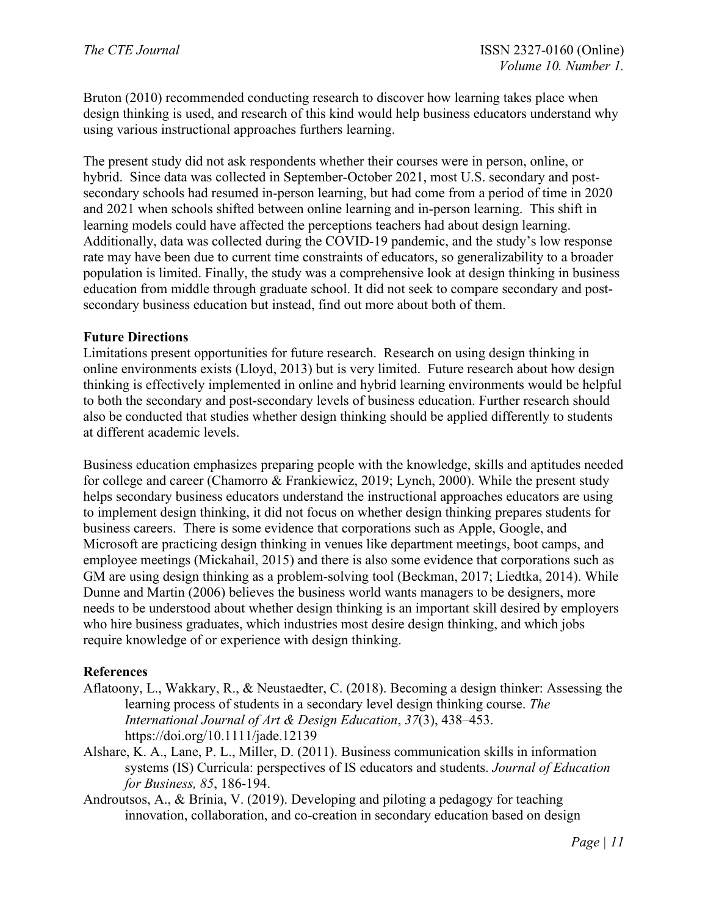Bruton (2010) recommended conducting research to discover how learning takes place when design thinking is used, and research of this kind would help business educators understand why using various instructional approaches furthers learning.

The present study did not ask respondents whether their courses were in person, online, or hybrid. Since data was collected in September-October 2021, most U.S. secondary and postsecondary schools had resumed in-person learning, but had come from a period of time in 2020 and 2021 when schools shifted between online learning and in-person learning. This shift in learning models could have affected the perceptions teachers had about design learning. Additionally, data was collected during the COVID-19 pandemic, and the study's low response rate may have been due to current time constraints of educators, so generalizability to a broader population is limited. Finally, the study was a comprehensive look at design thinking in business education from middle through graduate school. It did not seek to compare secondary and postsecondary business education but instead, find out more about both of them.

### **Future Directions**

Limitations present opportunities for future research. Research on using design thinking in online environments exists (Lloyd, 2013) but is very limited. Future research about how design thinking is effectively implemented in online and hybrid learning environments would be helpful to both the secondary and post-secondary levels of business education. Further research should also be conducted that studies whether design thinking should be applied differently to students at different academic levels.

Business education emphasizes preparing people with the knowledge, skills and aptitudes needed for college and career (Chamorro & Frankiewicz, 2019; Lynch, 2000). While the present study helps secondary business educators understand the instructional approaches educators are using to implement design thinking, it did not focus on whether design thinking prepares students for business careers. There is some evidence that corporations such as Apple, Google, and Microsoft are practicing design thinking in venues like department meetings, boot camps, and employee meetings (Mickahail, 2015) and there is also some evidence that corporations such as GM are using design thinking as a problem-solving tool (Beckman, 2017; Liedtka, 2014). While Dunne and Martin (2006) believes the business world wants managers to be designers, more needs to be understood about whether design thinking is an important skill desired by employers who hire business graduates, which industries most desire design thinking, and which jobs require knowledge of or experience with design thinking.

### **References**

- Aflatoony, L., Wakkary, R., & Neustaedter, C. (2018). Becoming a design thinker: Assessing the learning process of students in a secondary level design thinking course. *The International Journal of Art & Design Education*, *37*(3), 438–453. https://doi.org/10.1111/jade.12139
- Alshare, K. A., Lane, P. L., Miller, D. (2011). Business communication skills in information systems (IS) Curricula: perspectives of IS educators and students. *Journal of Education for Business, 85*, 186-194.
- Androutsos, A., & Brinia, V. (2019). Developing and piloting a pedagogy for teaching innovation, collaboration, and co-creation in secondary education based on design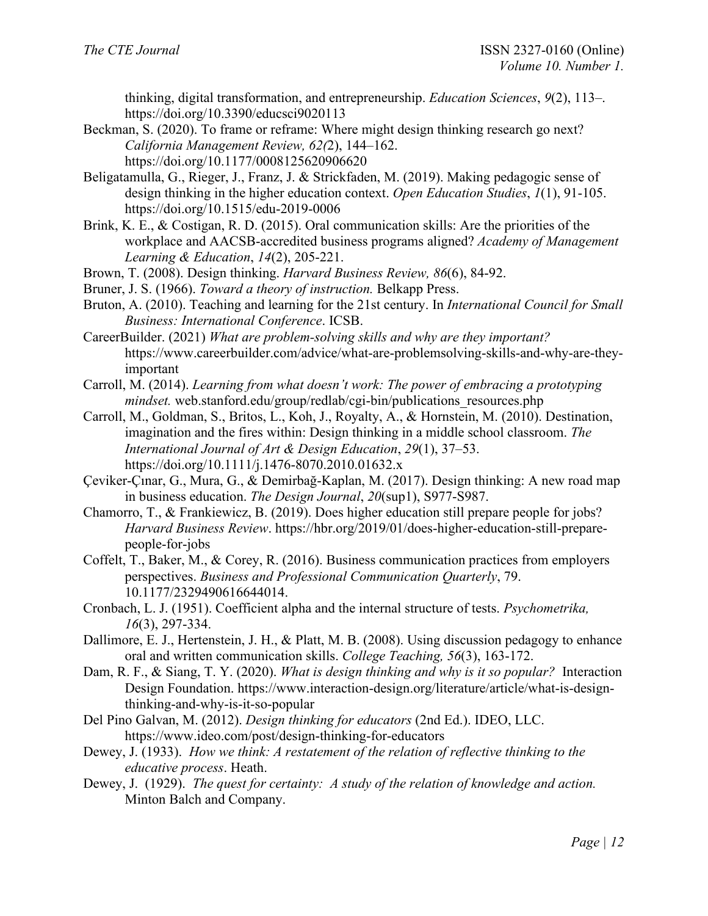thinking, digital transformation, and entrepreneurship. *Education Sciences*, *9*(2), 113–. https://doi.org/10.3390/educsci9020113

- Beckman, S. (2020). To frame or reframe: Where might design thinking research go next? *California Management Review, 62(*2), 144–162. https://doi.org/10.1177/0008125620906620
- Beligatamulla, G., Rieger, J., Franz, J. & Strickfaden, M. (2019). Making pedagogic sense of design thinking in the higher education context. *Open Education Studies*, *1*(1), 91-105. <https://doi.org/10.1515/edu-2019-0006>
- Brink, K. E., & Costigan, R. D. (2015). Oral communication skills: Are the priorities of the workplace and AACSB-accredited business programs aligned? *Academy of Management Learning & Education*, *14*(2), 205-221.
- Brown, T. (2008). Design thinking. *Harvard Business Review, 86*(6), 84-92.
- Bruner, J. S. (1966). *Toward a theory of instruction.* Belkapp Press.
- Bruton, A. (2010). Teaching and learning for the 21st century. In *International Council for Small Business: International Conference*. ICSB.
- CareerBuilder. (2021) *What are problem-solving skills and why are they important?* https://www.careerbuilder.com/advice/what-are-problemsolving-skills-and-why-are-theyimportant
- Carroll, M. (2014). *Learning from what doesn't work: The power of embracing a prototyping mindset.* web.stanford.edu/group/redlab/cgi-bin/publications\_resources.php
- Carroll, M., Goldman, S., Britos, L., Koh, J., Royalty, A., & Hornstein, M. (2010). Destination, imagination and the fires within: Design thinking in a middle school classroom. *The International Journal of Art & Design Education*, *29*(1), 37–53. <https://doi.org/10.1111/j.1476-8070.2010.01632.x>
- Çeviker-Çınar, G., Mura, G., & Demirbağ-Kaplan, M. (2017). Design thinking: A new road map in business education. *The Design Journal*, *20*(sup1), S977-S987.
- Chamorro, T., & Frankiewicz, B. (2019). Does higher education still prepare people for jobs? *Harvard Business Review*. https://hbr.org/2019/01/does-higher-education-still-preparepeople-for-jobs
- Coffelt, T., Baker, M., & Corey, R. (2016). Business communication practices from employers perspectives. *Business and Professional Communication Quarterly*, 79. 10.1177/2329490616644014.
- Cronbach, L. J. (1951). Coefficient alpha and the internal structure of tests. *Psychometrika, 16*(3), 297-334.
- Dallimore, E. J., Hertenstein, J. H., & Platt, M. B. (2008). Using discussion pedagogy to enhance oral and written communication skills. *College Teaching, 56*(3), 163-172.
- Dam, R. F., & Siang, T. Y. (2020). *What is design thinking and why is it so popular?* Interaction Design Foundation. https://www.interaction-design.org/literature/article/what-is-designthinking-and-why-is-it-so-popular
- Del Pino Galvan, M. (2012). *Design thinking for educators* (2nd Ed.). IDEO, LLC. https://www.ideo.com/post/design-thinking-for-educators
- Dewey, J. (1933). *How we think: A restatement of the relation of reflective thinking to the educative process*. Heath.
- Dewey, J. (1929). *The quest for certainty: A study of the relation of knowledge and action.*  Minton Balch and Company.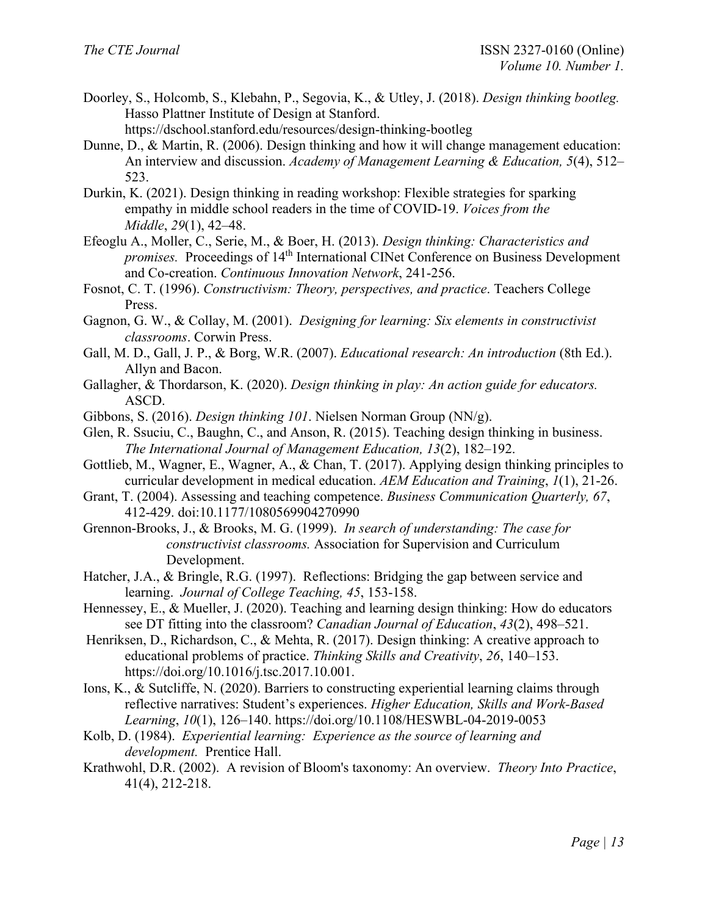- Doorley, S., Holcomb, S., Klebahn, P., Segovia, K., & Utley, J. (2018). *Design thinking bootleg.* Hasso Plattner Institute of Design at Stanford. https://dschool.stanford.edu/resources/design-thinking-bootleg
- Dunne, D., & Martin, R. (2006). Design thinking and how it will change management education: An interview and discussion. *Academy of Management Learning & Education, 5*(4), 512– 523.
- Durkin, K. (2021). Design thinking in reading workshop: Flexible strategies for sparking empathy in middle school readers in the time of COVID-19. *Voices from the Middle*, *29*(1), 42–48.
- Efeoglu A., Moller, C., Serie, M., & Boer, H. (2013). *Design thinking: Characteristics and promises.* Proceedings of 14<sup>th</sup> International CINet Conference on Business Development and Co-creation. *Continuous Innovation Network*, 241-256.
- Fosnot, C. T. (1996). *Constructivism: Theory, perspectives, and practice*. Teachers College Press.
- Gagnon, G. W., & Collay, M. (2001). *Designing for learning: Six elements in constructivist classrooms*. Corwin Press.
- Gall, M. D., Gall, J. P., & Borg, W.R. (2007). *Educational research: An introduction* (8th Ed.). Allyn and Bacon.
- Gallagher, & Thordarson, K. (2020). *Design thinking in play: An action guide for educators.* ASCD.
- Gibbons, S. (2016). *Design thinking 101*. Nielsen Norman Group (NN/g).
- Glen, R. Ssuciu, C., Baughn, C., and Anson, R. (2015). Teaching design thinking in business. *The International Journal of Management Education, 13*(2), 182–192.
- Gottlieb, M., Wagner, E., Wagner, A., & Chan, T. (2017). Applying design thinking principles to curricular development in medical education. *AEM Education and Training*, *1*(1), 21-26.
- Grant, T. (2004). Assessing and teaching competence. *Business Communication Quarterly, 67*, 412-429. doi:10.1177/1080569904270990
- Grennon-Brooks, J., & Brooks, M. G. (1999). *In search of understanding: The case for constructivist classrooms.* Association for Supervision and Curriculum Development.
- Hatcher, J.A., & Bringle, R.G. (1997). Reflections: Bridging the gap between service and learning. *Journal of College Teaching, 45*, 153-158.
- Hennessey, E., & Mueller, J. (2020). Teaching and learning design thinking: How do educators see DT fitting into the classroom? *Canadian Journal of Education*, *43*(2), 498–521.
- Henriksen, D., Richardson, C., & Mehta, R. (2017). Design thinking: A creative approach to educational problems of practice. *Thinking Skills and Creativity*, *26*, 140–153. https://doi.org/10.1016/j.tsc.2017.10.001.
- Ions, K., & Sutcliffe, N. (2020). Barriers to constructing experiential learning claims through reflective narratives: Student's experiences. *Higher Education, Skills and Work-Based Learning*, *10*(1), 126–140.<https://doi.org/10.1108/HESWBL-04-2019-0053>
- Kolb, D. (1984). *Experiential learning: Experience as the source of learning and development.* Prentice Hall.
- Krathwohl, D.R. (2002). A revision of Bloom's taxonomy: An overview. *Theory Into Practice*, 41(4), 212-218.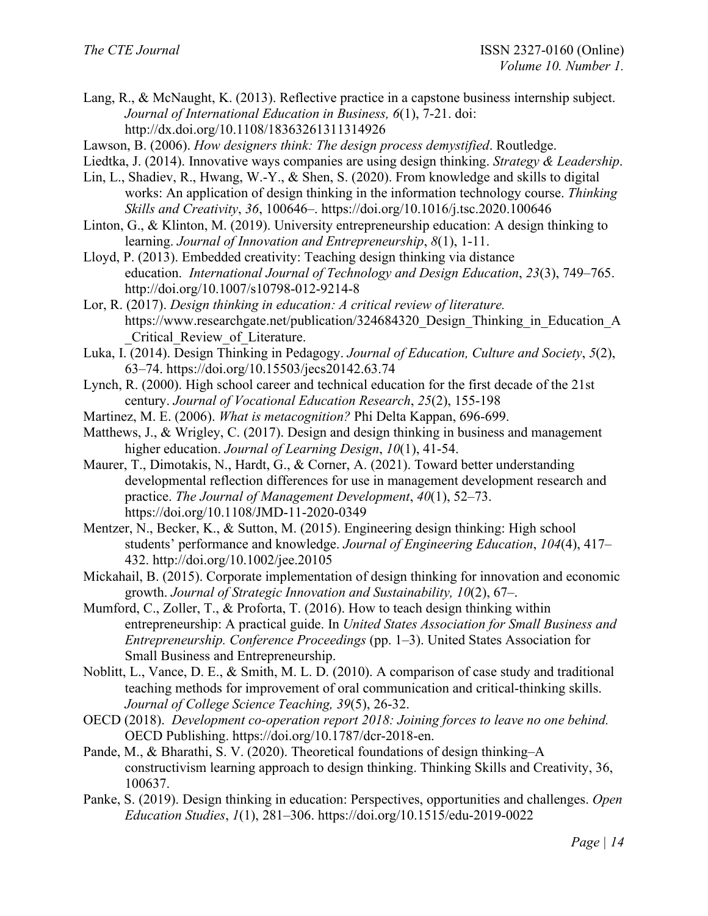Lang, R., & McNaught, K. (2013). Reflective practice in a capstone business internship subject. *Journal of International Education in Business, 6*(1), 7-21. doi: <http://dx.doi.org/10.1108/18363261311314926>

Lawson, B. (2006). *How designers think: The design process demystified*. Routledge.

- Liedtka, J. (2014). Innovative ways companies are using design thinking. *Strategy & Leadership*.
- Lin, L., Shadiev, R., Hwang, W.-Y., & Shen, S. (2020). From knowledge and skills to digital works: An application of design thinking in the information technology course. *Thinking Skills and Creativity*, *36*, 100646–. https://doi.org/10.1016/j.tsc.2020.100646
- Linton, G., & Klinton, M. (2019). University entrepreneurship education: A design thinking to learning. *Journal of Innovation and Entrepreneurship*, *8*(1), 1-11.
- Lloyd, P. (2013). Embedded creativity: Teaching design thinking via distance education. *International Journal of Technology and Design Education*, *23*(3), 749–765. <http://doi.org/10.1007/s10798-012-9214-8>
- Lor, R. (2017). *Design thinking in education: A critical review of literature.* https://www.researchgate.net/publication/324684320 Design Thinking in Education A Critical Review of Literature.
- Luka, I. (2014). Design Thinking in Pedagogy. *Journal of Education, Culture and Society*, *5*(2), 63–74.<https://doi.org/10.15503/jecs20142.63.74>
- Lynch, R. (2000). High school career and technical education for the first decade of the 21st century. *Journal of Vocational Education Research*, *25*(2), 155-198
- Martinez, M. E. (2006). *What is metacognition?* Phi Delta Kappan, 696-699.
- Matthews, J., & Wrigley, C. (2017). Design and design thinking in business and management higher education. *Journal of Learning Design*, *10*(1), 41-54.
- Maurer, T., Dimotakis, N., Hardt, G., & Corner, A. (2021). Toward better understanding developmental reflection differences for use in management development research and practice. *The Journal of Management Development*, *40*(1), 52–73. https://doi.org/10.1108/JMD-11-2020-0349
- Mentzer, N., Becker, K., & Sutton, M. (2015). Engineering design thinking: High school students' performance and knowledge. *Journal of Engineering Education*, *104*(4), 417– 432. http://doi.org/10.1002/jee.20105
- Mickahail, B. (2015). Corporate implementation of design thinking for innovation and economic growth. *Journal of Strategic Innovation and Sustainability, 10*(2), 67–.
- Mumford, C., Zoller, T., & Proforta, T. (2016). How to teach design thinking within entrepreneurship: A practical guide. In *United States Association for Small Business and Entrepreneurship. Conference Proceedings* (pp. 1–3). United States Association for Small Business and Entrepreneurship.
- Noblitt, L., Vance, D. E., & Smith, M. L. D. (2010). A comparison of case study and traditional teaching methods for improvement of oral communication and critical-thinking skills. *Journal of College Science Teaching, 39*(5), 26-32.
- OECD (2018). *Development co-operation report 2018: Joining forces to leave no one behind.* OECD Publishing. https://doi.org/10.1787/dcr-2018-en.
- Pande, M., & Bharathi, S. V. (2020). Theoretical foundations of design thinking–A constructivism learning approach to design thinking. Thinking Skills and Creativity, 36, 100637.
- Panke, S. (2019). Design thinking in education: Perspectives, opportunities and challenges. *Open Education Studies*, *1*(1), 281–306. https://doi.org/10.1515/edu-2019-0022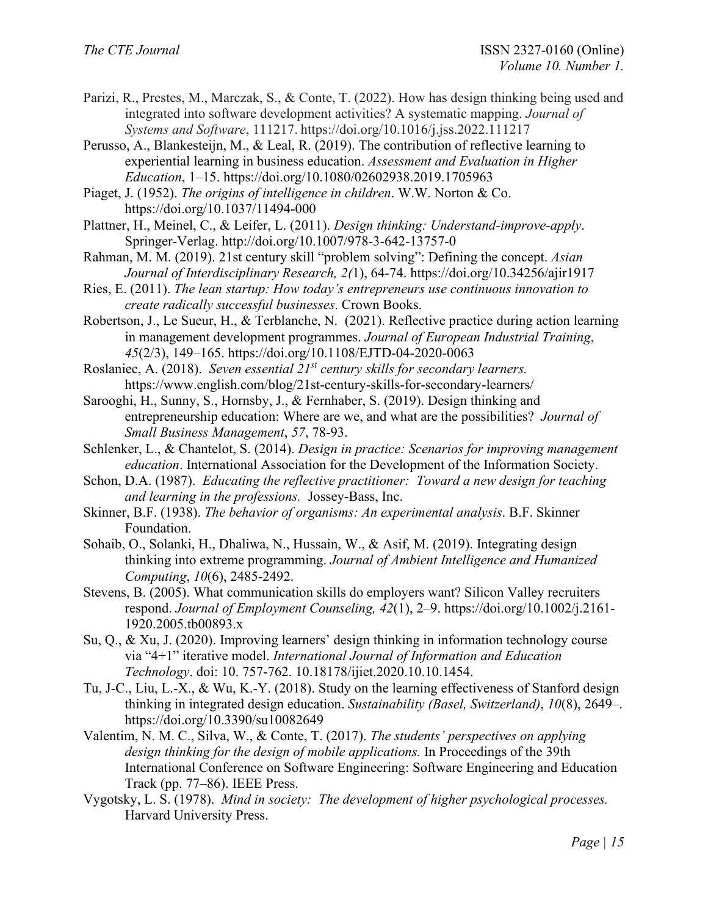- Parizi, R., Prestes, M., Marczak, S., & Conte, T. (2022). How has design thinking being used and integrated into software development activities? A systematic mapping. *Journal of Systems and Software*, 111217. https://doi.org/10.1016/j.jss.2022.111217
- Perusso, A., Blankesteijn, M., & Leal, R. (2019). The contribution of reflective learning to experiential learning in business education. *Assessment and Evaluation in Higher Education*, 1–15.<https://doi.org/10.1080/02602938.2019.1705963>

Piaget, J. (1952). *The origins of intelligence in children*. W.W. Norton & Co. https://doi.org/10.1037/11494-000

- Plattner, H., Meinel, C., & Leifer, L. (2011). *Design thinking: Understand-improve-apply*. Springer-Verlag. http://doi.org/10.1007/978-3-642-13757-0
- Rahman, M. M. (2019). 21st century skill "problem solving": Defining the concept. *Asian Journal of Interdisciplinary Research, 2(*1), 64-74. https://doi.org/10.34256/ajir1917
- Ries, E. (2011). *The lean startup: How today's entrepreneurs use continuous innovation to create radically successful businesses*. Crown Books.
- Robertson, J., Le Sueur, H., & Terblanche, N. (2021). Reflective practice during action learning in management development programmes. *Journal of European Industrial Training*, *45*(2/3), 149–165.<https://doi.org/10.1108/EJTD-04-2020-0063>
- Roslaniec, A. (2018). *Seven essential 21st century skills for secondary learners.* https://www.english.com/blog/21st-century-skills-for-secondary-learners/
- Sarooghi, H., Sunny, S., Hornsby, J., & Fernhaber, S. (2019). Design thinking and entrepreneurship education: Where are we, and what are the possibilities? *Journal of Small Business Management*, *57*, 78-93.
- Schlenker, L., & Chantelot, S. (2014). *Design in practice: Scenarios for improving management education*. International Association for the Development of the Information Society.
- Schon, D.A. (1987). *Educating the reflective practitioner: Toward a new design for teaching and learning in the professions.* Jossey-Bass, Inc.
- Skinner, B.F. (1938). *The behavior of organisms: An experimental analysis*. B.F. Skinner Foundation.
- Sohaib, O., Solanki, H., Dhaliwa, N., Hussain, W., & Asif, M. (2019). Integrating design thinking into extreme programming. *Journal of Ambient Intelligence and Humanized Computing*, *10*(6), 2485-2492.
- Stevens, B. (2005). What communication skills do employers want? Silicon Valley recruiters respond. *Journal of Employment Counseling, 42*(1), 2–9. https://doi.org/10.1002/j.2161- 1920.2005.tb00893.x
- Su, Q., & Xu, J. (2020). Improving learners' design thinking in information technology course via "4+1" iterative model. *International Journal of Information and Education Technology*. doi: 10. 757-762. 10.18178/ijiet.2020.10.10.1454.
- Tu, J-C., Liu, L.-X., & Wu, K.-Y. (2018). Study on the learning effectiveness of Stanford design thinking in integrated design education. *Sustainability (Basel, Switzerland)*, *10*(8), 2649–. <https://doi.org/10.3390/su10082649>
- Valentim, N. M. C., Silva, W., & Conte, T. (2017). *The students' perspectives on applying design thinking for the design of mobile applications.* In Proceedings of the 39th International Conference on Software Engineering: Software Engineering and Education Track (pp. 77–86). IEEE Press.
- Vygotsky, L. S. (1978). *Mind in society: The development of higher psychological processes.* Harvard University Press.